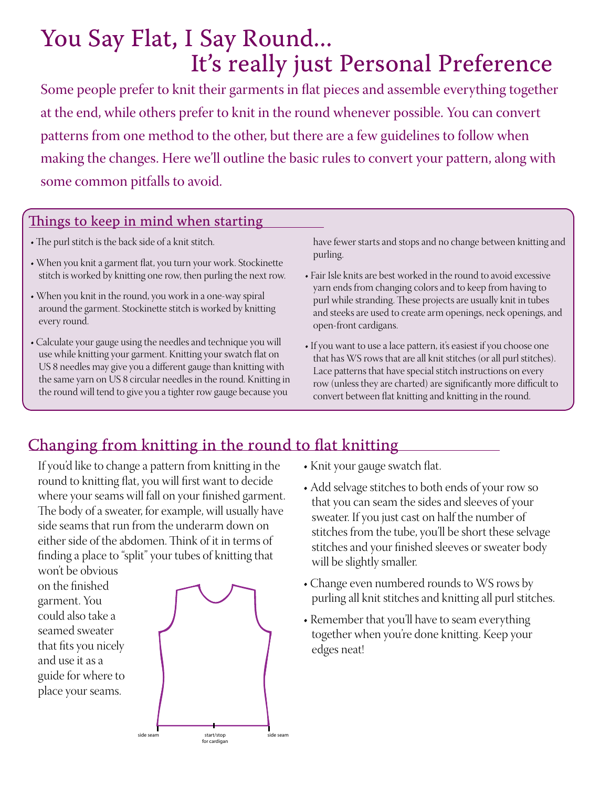# You Say Flat, I Say Round... It's really just Personal Preference

Some people prefer to knit their garments in flat pieces and assemble everything together at the end, while others prefer to knit in the round whenever possible. You can convert patterns from one method to the other, but there are a few guidelines to follow when making the changes. Here we'll outline the basic rules to convert your pattern, along with some common pitfalls to avoid.

#### Things to keep in mind when starting

- The purl stitch is the back side of a knit stitch.
- When you knit a garment flat, you turn your work. Stockinette stitch is worked by knitting one row, then purling the next row.
- When you knit in the round, you work in a one-way spiral around the garment. Stockinette stitch is worked by knitting every round.
- Calculate your gauge using the needles and technique you will use while knitting your garment. Knitting your swatch flat on US 8 needles may give you a different gauge than knitting with the same yarn on US 8 circular needles in the round. Knitting in the round will tend to give you a tighter row gauge because you

have fewer starts and stops and no change between knitting and purling.

- Fair Isle knits are best worked in the round to avoid excessive yarn ends from changing colors and to keep from having to purl while stranding. These projects are usually knit in tubes and steeks are used to create arm openings, neck openings, and open-front cardigans.
- If you want to use a lace pattern, it's easiest if you choose one that has WS rows that are all knit stitches (or all purl stitches). Lace patterns that have special stitch instructions on every row (unless they are charted) are significantly more difficult to convert between flat knitting and knitting in the round.

## Changing from knitting in the round to flat knitting

If you'd like to change a pattern from knitting in the round to knitting flat, you will first want to decide where your seams will fall on your finished garment. The body of a sweater, for example, will usually have side seams that run from the underarm down on either side of the abdomen. Think of it in terms of finding a place to "split" your tubes of knitting that won't be obvious

on the finished garment. You could also take a seamed sweater that fits you nicely and use it as a guide for where to place your seams.



- Knit your gauge swatch flat.
- Add selvage stitches to both ends of your row so that you can seam the sides and sleeves of your sweater. If you just cast on half the number of stitches from the tube, you'll be short these selvage stitches and your finished sleeves or sweater body will be slightly smaller.
- Change even numbered rounds to WS rows by purling all knit stitches and knitting all purl stitches.
- Remember that you'll have to seam everything together when you're done knitting. Keep your edges neat!